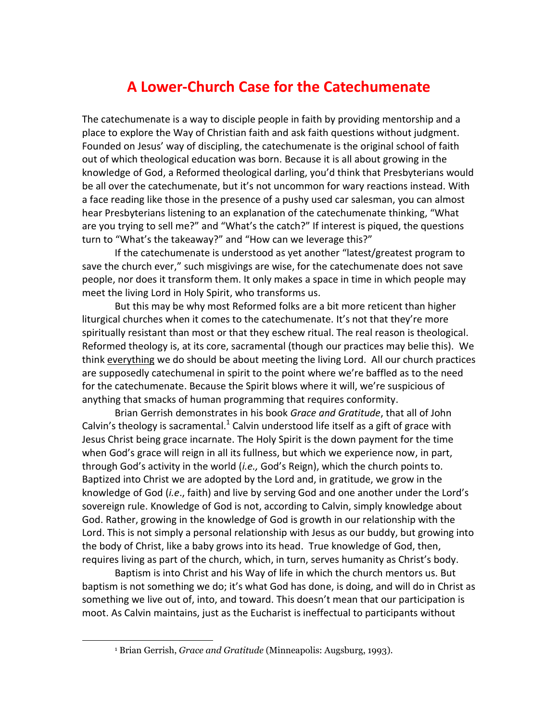## **A Lower-Church Case for the Catechumenate**

The catechumenate is a way to disciple people in faith by providing mentorship and a place to explore the Way of Christian faith and ask faith questions without judgment. Founded on Jesus' way of discipling, the catechumenate is the original school of faith out of which theological education was born. Because it is all about growing in the knowledge of God, a Reformed theological darling, you'd think that Presbyterians would be all over the catechumenate, but it's not uncommon for wary reactions instead. With a face reading like those in the presence of a pushy used car salesman, you can almost hear Presbyterians listening to an explanation of the catechumenate thinking, "What are you trying to sell me?" and "What's the catch?" If interest is piqued, the questions turn to "What's the takeaway?" and "How can we leverage this?"

If the catechumenate is understood as yet another "latest/greatest program to save the church ever," such misgivings are wise, for the catechumenate does not save people, nor does it transform them. It only makes a space in time in which people may meet the living Lord in Holy Spirit, who transforms us.

But this may be why most Reformed folks are a bit more reticent than higher liturgical churches when it comes to the catechumenate. It's not that they're more spiritually resistant than most or that they eschew ritual. The real reason is theological. Reformed theology is, at its core, sacramental (though our practices may belie this). We think everything we do should be about meeting the living Lord. All our church practices are supposedly catechumenal in spirit to the point where we're baffled as to the need for the catechumenate. Because the Spirit blows where it will, we're suspicious of anything that smacks of human programming that requires conformity.

Brian Gerrish demonstrates in his book *Grace and Gratitude*, that all of John Calvin's theology is sacramental.<sup>1</sup> Calvin understood life itself as a gift of grace with Jesus Christ being grace incarnate. The Holy Spirit is the down payment for the time when God's grace will reign in all its fullness, but which we experience now, in part, through God's activity in the world (*i.e.,* God's Reign), which the church points to. Baptized into Christ we are adopted by the Lord and, in gratitude, we grow in the knowledge of God (*i.e*., faith) and live by serving God and one another under the Lord's sovereign rule. Knowledge of God is not, according to Calvin, simply knowledge about God. Rather, growing in the knowledge of God is growth in our relationship with the Lord. This is not simply a personal relationship with Jesus as our buddy, but growing into the body of Christ, like a baby grows into its head. True knowledge of God, then, requires living as part of the church, which, in turn, serves humanity as Christ's body.

Baptism is into Christ and his Way of life in which the church mentors us. But baptism is not something we do; it's what God has done, is doing, and will do in Christ as something we live out of, into, and toward. This doesn't mean that our participation is moot. As Calvin maintains, just as the Eucharist is ineffectual to participants without

 $\overline{a}$ 

<sup>1</sup> Brian Gerrish, *Grace and Gratitude* (Minneapolis: Augsburg, 1993).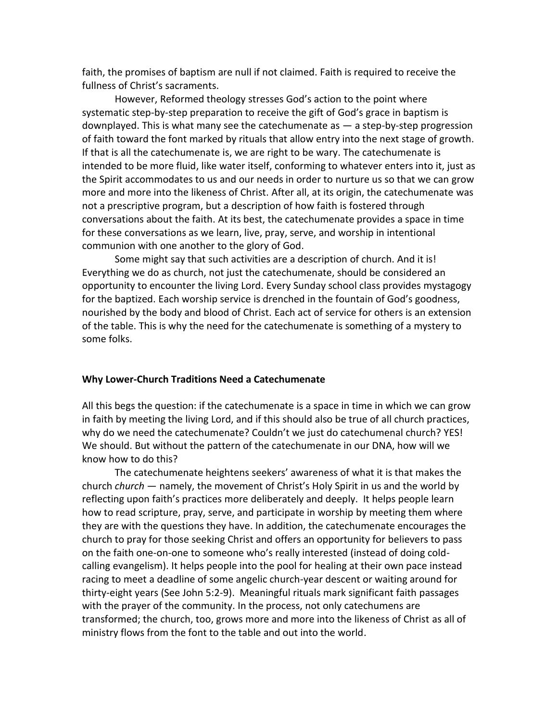faith, the promises of baptism are null if not claimed. Faith is required to receive the fullness of Christ's sacraments.

However, Reformed theology stresses God's action to the point where systematic step-by-step preparation to receive the gift of God's grace in baptism is downplayed. This is what many see the catechumenate as — a step-by-step progression of faith toward the font marked by rituals that allow entry into the next stage of growth. If that is all the catechumenate is, we are right to be wary. The catechumenate is intended to be more fluid, like water itself, conforming to whatever enters into it, just as the Spirit accommodates to us and our needs in order to nurture us so that we can grow more and more into the likeness of Christ. After all, at its origin, the catechumenate was not a prescriptive program, but a description of how faith is fostered through conversations about the faith. At its best, the catechumenate provides a space in time for these conversations as we learn, live, pray, serve, and worship in intentional communion with one another to the glory of God.

Some might say that such activities are a description of church. And it is! Everything we do as church, not just the catechumenate, should be considered an opportunity to encounter the living Lord. Every Sunday school class provides mystagogy for the baptized. Each worship service is drenched in the fountain of God's goodness, nourished by the body and blood of Christ. Each act of service for others is an extension of the table. This is why the need for the catechumenate is something of a mystery to some folks.

## **Why Lower-Church Traditions Need a Catechumenate**

All this begs the question: if the catechumenate is a space in time in which we can grow in faith by meeting the living Lord, and if this should also be true of all church practices, why do we need the catechumenate? Couldn't we just do catechumenal church? YES! We should. But without the pattern of the catechumenate in our DNA, how will we know how to do this?

The catechumenate heightens seekers' awareness of what it is that makes the church *church* — namely, the movement of Christ's Holy Spirit in us and the world by reflecting upon faith's practices more deliberately and deeply. It helps people learn how to read scripture, pray, serve, and participate in worship by meeting them where they are with the questions they have. In addition, the catechumenate encourages the church to pray for those seeking Christ and offers an opportunity for believers to pass on the faith one-on-one to someone who's really interested (instead of doing coldcalling evangelism). It helps people into the pool for healing at their own pace instead racing to meet a deadline of some angelic church-year descent or waiting around for thirty-eight years (See John 5:2-9). Meaningful rituals mark significant faith passages with the prayer of the community. In the process, not only catechumens are transformed; the church, too, grows more and more into the likeness of Christ as all of ministry flows from the font to the table and out into the world.